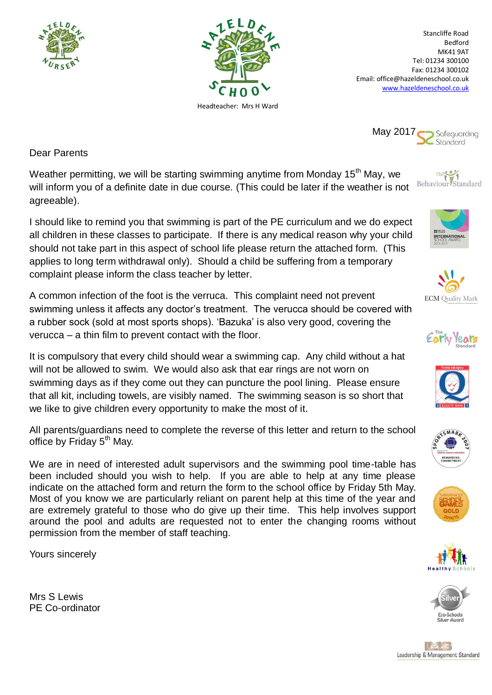



Stancliffe Road Bedford MK41 9AT Tel: 01234 300100 Fax: 01234 300102 Email: office@hazeldeneschool.co.uk [www.hazeldeneschool.co.uk](http://www.hazeldeneschool.co.uk/)

May 2017 Safeguarding Stondard

Dear Parents

Weather permitting, we will be starting swimming anytime from Monday 15<sup>th</sup> May, we will inform you of a definite date in due course. (This could be later if the weather is not agreeable).

I should like to remind you that swimming is part of the PE curriculum and we do expect all children in these classes to participate. If there is any medical reason why your child should not take part in this aspect of school life please return the attached form. (This applies to long term withdrawal only). Should a child be suffering from a temporary complaint please inform the class teacher by letter.

A common infection of the foot is the verruca. This complaint need not prevent swimming unless it affects any doctor's treatment. The verucca should be covered with a rubber sock (sold at most sports shops). 'Bazuka' is also very good, covering the verucca – a thin film to prevent contact with the floor.

It is compulsory that every child should wear a swimming cap. Any child without a hat will not be allowed to swim. We would also ask that ear rings are not worn on swimming days as if they come out they can puncture the pool lining. Please ensure that all kit, including towels, are visibly named. The swimming season is so short that we like to give children every opportunity to make the most of it.

All parents/guardians need to complete the reverse of this letter and return to the school office by Friday 5<sup>th</sup> May.

We are in need of interested adult supervisors and the swimming pool time-table has been included should you wish to help. If you are able to help at any time please indicate on the attached form and return the form to the school office by Friday 5th May. Most of you know we are particularly reliant on parent help at this time of the year and are extremely grateful to those who do give up their time. This help involves support around the pool and adults are requested not to enter the changing rooms without permission from the member of staff teaching.

Yours sincerely

Mrs S Lewis PE Co-ordinator